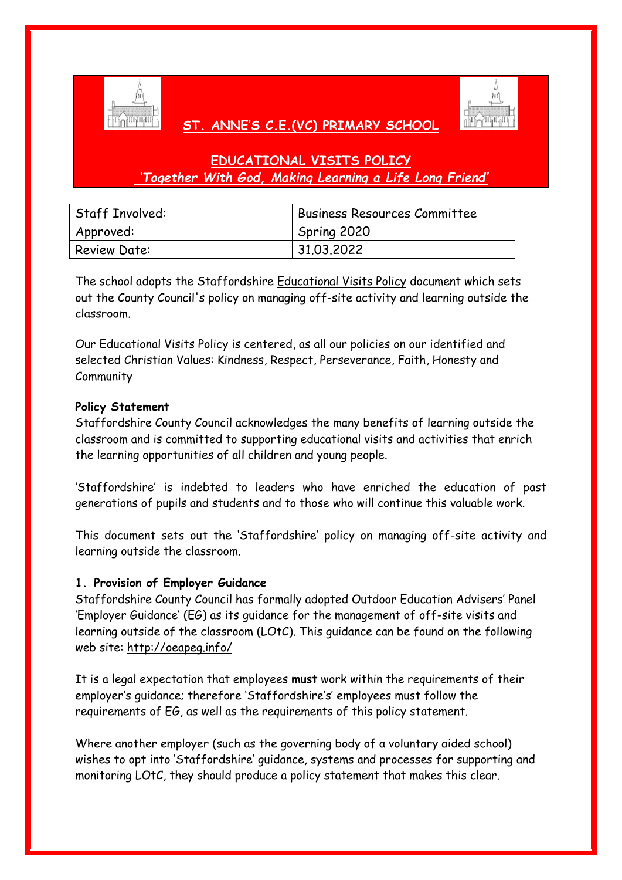

# **ST. ANNE'S C.E.(VC) PRIMARY SCHOOL**



# **EDUCATIONAL VISITS POLICY** *'Together With God, Making Learning a Life Long Friend'*

| <b>Staff Involved:</b> | <b>Business Resources Committee</b> |
|------------------------|-------------------------------------|
| Approved:              | Spring 2020                         |
| <b>Review Date:</b>    | 31.03.2022                          |

The school adopts the Staffordshire [Educational Visits Policy](http://education.staffordshire.gov.uk/NR/rdonlyres/D61D0ED0-37F9-49BF-B551-DC848BE6A524/162473/EducationalVisitsPolicy.doc) document which sets out the County Council's policy on managing off-site activity and learning outside the classroom.

Our Educational Visits Policy is centered, as all our policies on our identified and selected Christian Values: Kindness, Respect, Perseverance, Faith, Honesty and **Community** 

## **Policy Statement**

Staffordshire County Council acknowledges the many benefits of learning outside the classroom and is committed to supporting educational visits and activities that enrich the learning opportunities of all children and young people.

'Staffordshire' is indebted to leaders who have enriched the education of past generations of pupils and students and to those who will continue this valuable work.

This document sets out the 'Staffordshire' policy on managing off-site activity and learning outside the classroom.

## **1. Provision of Employer Guidance**

Staffordshire County Council has formally adopted Outdoor Education Advisers' Panel 'Employer Guidance' (EG) as its guidance for the management of off-site visits and learning outside of the classroom (LOtC). This guidance can be found on the following web site:<http://oeapeg.info/>

It is a legal expectation that employees **must** work within the requirements of their employer's guidance; therefore 'Staffordshire's' employees must follow the requirements of EG, as well as the requirements of this policy statement.

Where another employer (such as the governing body of a voluntary aided school) wishes to opt into 'Staffordshire' guidance, systems and processes for supporting and monitoring LOtC, they should produce a policy statement that makes this clear.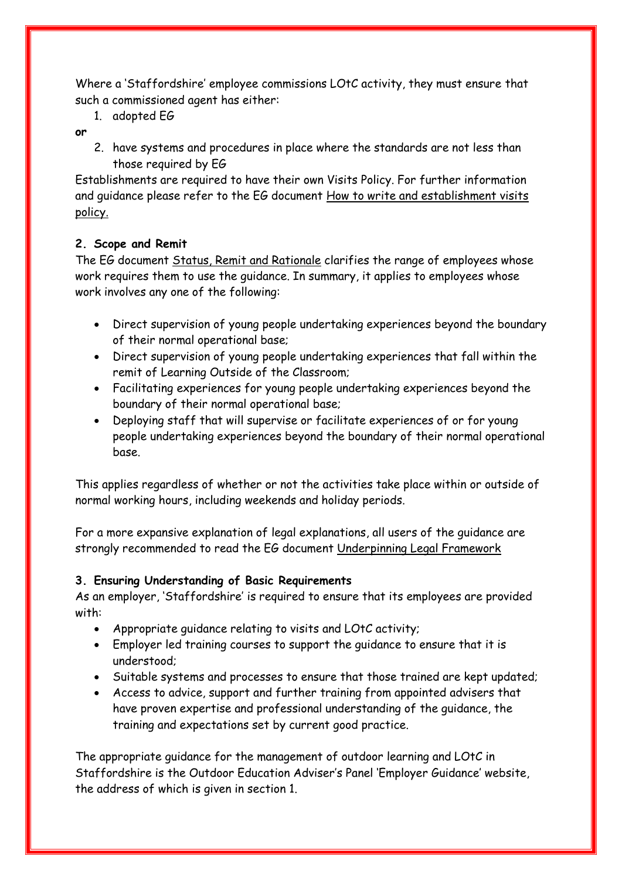Where a 'Staffordshire' employee commissions LOtC activity, they must ensure that such a commissioned agent has either:

1. adopted EG

## **or**

2. have systems and procedures in place where the standards are not less than those required by EG

Establishments are required to have their own Visits Policy. For further information and guidance please refer to the EG document How to write and establishment visits policy.

# **2. Scope and Remit**

The EG document [Status, Remit and Rationale](http://oeapeg.info/wp-content/uploads/downloads/2011/03/1c-Status-Remit-and-Rationale.pdf) clarifies the range of employees whose work requires them to use the guidance. In summary, it applies to employees whose work involves any one of the following:

- Direct supervision of young people undertaking experiences beyond the boundary of their normal operational base;
- Direct supervision of young people undertaking experiences that fall within the remit of Learning Outside of the Classroom;
- Facilitating experiences for young people undertaking experiences beyond the boundary of their normal operational base;
- Deploying staff that will supervise or facilitate experiences of or for young people undertaking experiences beyond the boundary of their normal operational base.

This applies regardless of whether or not the activities take place within or outside of normal working hours, including weekends and holiday periods.

For a more expansive explanation of legal explanations, all users of the guidance are strongly recommended to read the EG document [Underpinning Legal Framework](http://oeapeg.info/wp-content/uploads/downloads/2011/03/3.2a-Underpinning-Framework.pdf)

# **3. Ensuring Understanding of Basic Requirements**

As an employer, 'Staffordshire' is required to ensure that its employees are provided with:

- Appropriate guidance relating to visits and LOtC activity;
- Employer led training courses to support the guidance to ensure that it is understood;
- Suitable systems and processes to ensure that those trained are kept updated;
- Access to advice, support and further training from appointed advisers that have proven expertise and professional understanding of the guidance, the training and expectations set by current good practice.

The appropriate guidance for the management of outdoor learning and LOtC in Staffordshire is the Outdoor Education Adviser's Panel 'Employer Guidance' website, the address of which is given in section 1.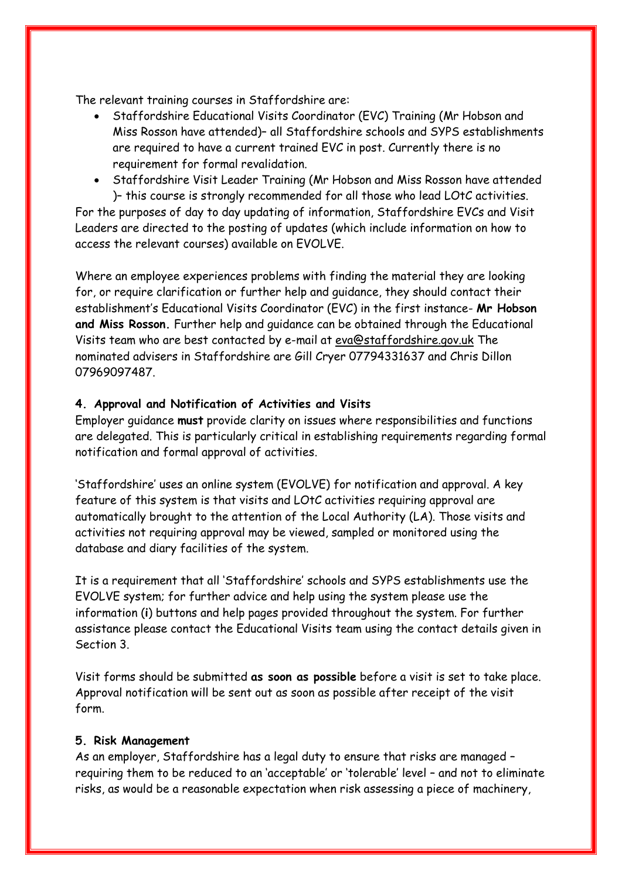The relevant training courses in Staffordshire are:

- Staffordshire Educational Visits Coordinator (EVC) Training (Mr Hobson and Miss Rosson have attended)– all Staffordshire schools and SYPS establishments are required to have a current trained EVC in post. Currently there is no requirement for formal revalidation.
- Staffordshire Visit Leader Training (Mr Hobson and Miss Rosson have attended )– this course is strongly recommended for all those who lead LOtC activities.

For the purposes of day to day updating of information, Staffordshire EVCs and Visit Leaders are directed to the posting of updates (which include information on how to access the relevant courses) available on EVOLVE.

Where an employee experiences problems with finding the material they are looking for, or require clarification or further help and guidance, they should contact their establishment's Educational Visits Coordinator (EVC) in the first instance- **Mr Hobson and Miss Rosson.** Further help and guidance can be obtained through the Educational Visits team who are best contacted by e-mail at [eva@staffordshire.gov.uk](mailto:eva@staffordshire.gov.uk) The nominated advisers in Staffordshire are Gill Cryer 07794331637 and Chris Dillon 07969097487.

### **4. Approval and Notification of Activities and Visits**

Employer guidance **must** provide clarity on issues where responsibilities and functions are delegated. This is particularly critical in establishing requirements regarding formal notification and formal approval of activities.

'Staffordshire' uses an online system (EVOLVE) for notification and approval. A key feature of this system is that visits and LOtC activities requiring approval are automatically brought to the attention of the Local Authority (LA). Those visits and activities not requiring approval may be viewed, sampled or monitored using the database and diary facilities of the system.

It is a requirement that all 'Staffordshire' schools and SYPS establishments use the EVOLVE system; for further advice and help using the system please use the information (**i**) buttons and help pages provided throughout the system. For further assistance please contact the Educational Visits team using the contact details given in Section 3.

Visit forms should be submitted **as soon as possible** before a visit is set to take place. Approval notification will be sent out as soon as possible after receipt of the visit form.

#### **5. Risk Management**

As an employer, Staffordshire has a legal duty to ensure that risks are managed – requiring them to be reduced to an 'acceptable' or 'tolerable' level – and not to eliminate risks, as would be a reasonable expectation when risk assessing a piece of machinery,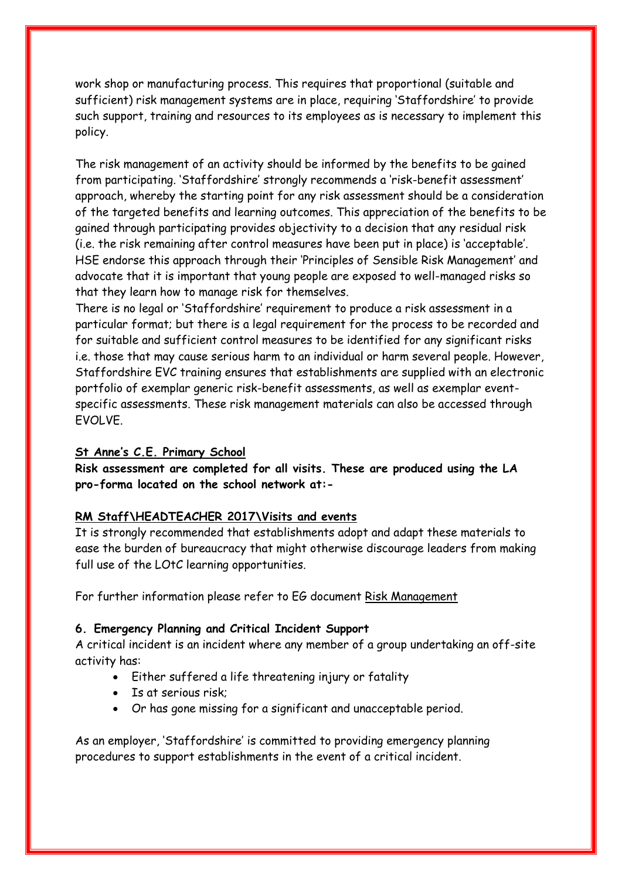work shop or manufacturing process. This requires that proportional (suitable and sufficient) risk management systems are in place, requiring 'Staffordshire' to provide such support, training and resources to its employees as is necessary to implement this policy.

The risk management of an activity should be informed by the benefits to be gained from participating. 'Staffordshire' strongly recommends a 'risk-benefit assessment' approach, whereby the starting point for any risk assessment should be a consideration of the targeted benefits and learning outcomes. This appreciation of the benefits to be gained through participating provides objectivity to a decision that any residual risk (i.e. the risk remaining after control measures have been put in place) is 'acceptable'. HSE endorse this approach through their 'Principles of Sensible Risk Management' and advocate that it is important that young people are exposed to well-managed risks so that they learn how to manage risk for themselves.

There is no legal or 'Staffordshire' requirement to produce a risk assessment in a particular format; but there is a legal requirement for the process to be recorded and for suitable and sufficient control measures to be identified for any significant risks i.e. those that may cause serious harm to an individual or harm several people. However, Staffordshire EVC training ensures that establishments are supplied with an electronic portfolio of exemplar generic risk-benefit assessments, as well as exemplar eventspecific assessments. These risk management materials can also be accessed through EVOLVE.

#### **St Anne's C.E. Primary School**

**Risk assessment are completed for all visits. These are produced using the LA pro-forma located on the school network at:-**

## **RM Staff\HEADTEACHER 2017\Visits and events**

It is strongly recommended that establishments adopt and adapt these materials to ease the burden of bureaucracy that might otherwise discourage leaders from making full use of the LOtC learning opportunities.

For further information please refer to EG document [Risk Management](http://oeapeg.info/wp-content/uploads/downloads/2011/04/4.3c-Risk-management.pdf)

#### **6. Emergency Planning and Critical Incident Support**

A critical incident is an incident where any member of a group undertaking an off-site activity has:

- Either suffered a life threatening injury or fatality
- Is at serious risk;
- Or has gone missing for a significant and unacceptable period.

As an employer, 'Staffordshire' is committed to providing emergency planning procedures to support establishments in the event of a critical incident.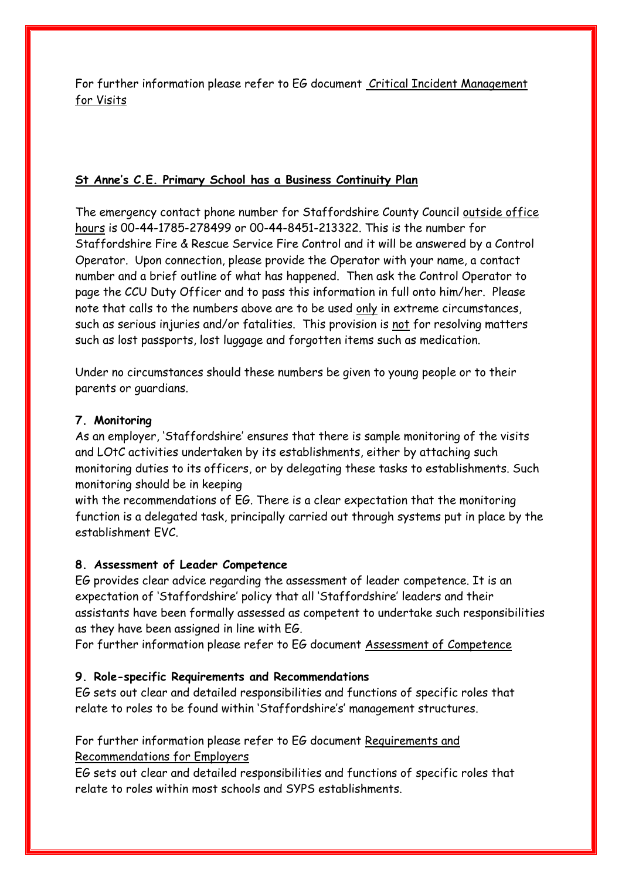For further information please refer to EG document Critical Incident Management for Visits

## **St Anne's C.E. Primary School has a Business Continuity Plan**

The emergency contact phone number for Staffordshire County Council outside office hours is 00-44-1785-278499 or 00-44-8451-213322. This is the number for Staffordshire Fire & Rescue Service Fire Control and it will be answered by a Control Operator. Upon connection, please provide the Operator with your name, a contact number and a brief outline of what has happened. Then ask the Control Operator to page the CCU Duty Officer and to pass this information in full onto him/her. Please note that calls to the numbers above are to be used only in extreme circumstances, such as serious injuries and/or fatalities. This provision is not for resolving matters such as lost passports, lost luggage and forgotten items such as medication.

Under no circumstances should these numbers be given to young people or to their parents or guardians.

## **7. Monitoring**

As an employer, 'Staffordshire' ensures that there is sample monitoring of the visits and LOtC activities undertaken by its establishments, either by attaching such monitoring duties to its officers, or by delegating these tasks to establishments. Such monitoring should be in keeping

with the recommendations of EG. There is a clear expectation that the monitoring function is a delegated task, principally carried out through systems put in place by the establishment EVC.

## **8. Assessment of Leader Competence**

EG provides clear advice regarding the assessment of leader competence. It is an expectation of 'Staffordshire' policy that all 'Staffordshire' leaders and their assistants have been formally assessed as competent to undertake such responsibilities as they have been assigned in line with EG.

For further information please refer to EG document [Assessment of Competence](http://oeapeg.info/wp-content/uploads/downloads/2011/03/3.2d-Assessment-of-Competence.pdf)

## **9. Role-specific Requirements and Recommendations**

EG sets out clear and detailed responsibilities and functions of specific roles that relate to roles to be found within 'Staffordshire's' management structures.

# For further information please refer to EG document [Requirements and](http://oeapeg.info/wp-content/uploads/downloads/2011/03/3.1a-Requirements-Recommendations-for-Employers.pdf)  [Recommendations for Employers](http://oeapeg.info/wp-content/uploads/downloads/2011/03/3.1a-Requirements-Recommendations-for-Employers.pdf)

EG sets out clear and detailed responsibilities and functions of specific roles that relate to roles within most schools and SYPS establishments.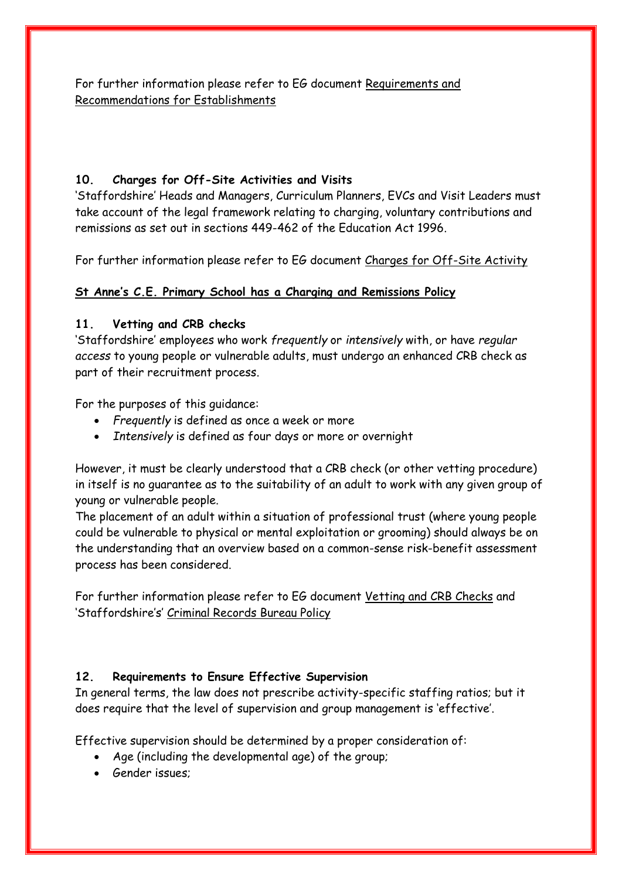For further information please refer to EG document [Requirements and](http://oeapeg.info/wp-content/uploads/downloads/2011/03/3.1b-Requirements-Recommendations-for-Establishments.pdf)  [Recommendations for Establishments](http://oeapeg.info/wp-content/uploads/downloads/2011/03/3.1b-Requirements-Recommendations-for-Establishments.pdf) 

## **10. Charges for Off-Site Activities and Visits**

'Staffordshire' Heads and Managers, Curriculum Planners, EVCs and Visit Leaders must take account of the legal framework relating to charging, voluntary contributions and remissions as set out in sections 449-462 of the Education Act 1996.

For further information please refer to EG document [Charges for Off-Site Activity](http://oeapeg.info/wp-content/uploads/downloads/2011/03/3.2c-Charges-for-off-site-actvity.pdf)

## **St Anne's C.E. Primary School has a Charging and Remissions Policy**

## **11. Vetting and CRB checks**

'Staffordshire' employees who work *frequently* or *intensively* with, or have *regular access* to young people or vulnerable adults, must undergo an enhanced CRB check as part of their recruitment process.

For the purposes of this guidance:

- *Frequently* is defined as once a week or more
- *Intensively* is defined as four days or more or overnight

However, it must be clearly understood that a CRB check (or other vetting procedure) in itself is no guarantee as to the suitability of an adult to work with any given group of young or vulnerable people.

The placement of an adult within a situation of professional trust (where young people could be vulnerable to physical or mental exploitation or grooming) should always be on the understanding that an overview based on a common-sense risk-benefit assessment process has been considered.

For further information please refer to EG document [Vetting and CRB Checks](http://oeapeg.info/wp-content/uploads/downloads/2011/03/3.2g-Vetting-and-CRB-Checks.pdf) and 'Staffordshire's' [Criminal Records Bureau Policy](http://www.intra.staffordshire.gov.uk/Resources/Documents/c/CRBPolicyHR7V2.doc)

## **12. Requirements to Ensure Effective Supervision**

In general terms, the law does not prescribe activity-specific staffing ratios; but it does require that the level of supervision and group management is 'effective'.

Effective supervision should be determined by a proper consideration of:

- Age (including the developmental age) of the group;
- Gender issues;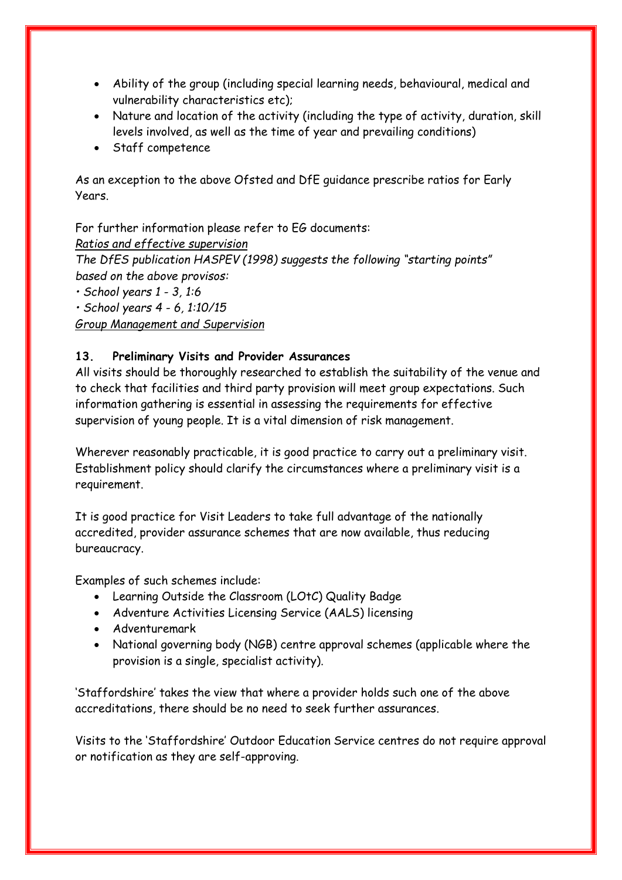- Ability of the group (including special learning needs, behavioural, medical and vulnerability characteristics etc);
- Nature and location of the activity (including the type of activity, duration, skill levels involved, as well as the time of year and prevailing conditions)
- Staff competence

As an exception to the above Ofsted and DfE guidance prescribe ratios for Early Years.

For further information please refer to EG documents: *Ratios and effective supervision The DfES publication HASPEV (1998) suggests the following "starting points" based on the above provisos: • School years 1 - 3, 1:6*

*• School years 4 - 6, 1:10/15*

*Group Management and Supervision*

## **13. Preliminary Visits and Provider Assurances**

All visits should be thoroughly researched to establish the suitability of the venue and to check that facilities and third party provision will meet group expectations. Such information gathering is essential in assessing the requirements for effective supervision of young people. It is a vital dimension of risk management.

Wherever reasonably practicable, it is good practice to carry out a preliminary visit. Establishment policy should clarify the circumstances where a preliminary visit is a requirement.

It is good practice for Visit Leaders to take full advantage of the nationally accredited, provider assurance schemes that are now available, thus reducing bureaucracy.

Examples of such schemes include:

- Learning Outside the Classroom (LOtC) Quality Badge
- Adventure Activities Licensing Service (AALS) licensing
- Adventuremark
- National governing body (NGB) centre approval schemes (applicable where the provision is a single, specialist activity).

'Staffordshire' takes the view that where a provider holds such one of the above accreditations, there should be no need to seek further assurances.

Visits to the 'Staffordshire' Outdoor Education Service centres do not require approval or notification as they are self-approving.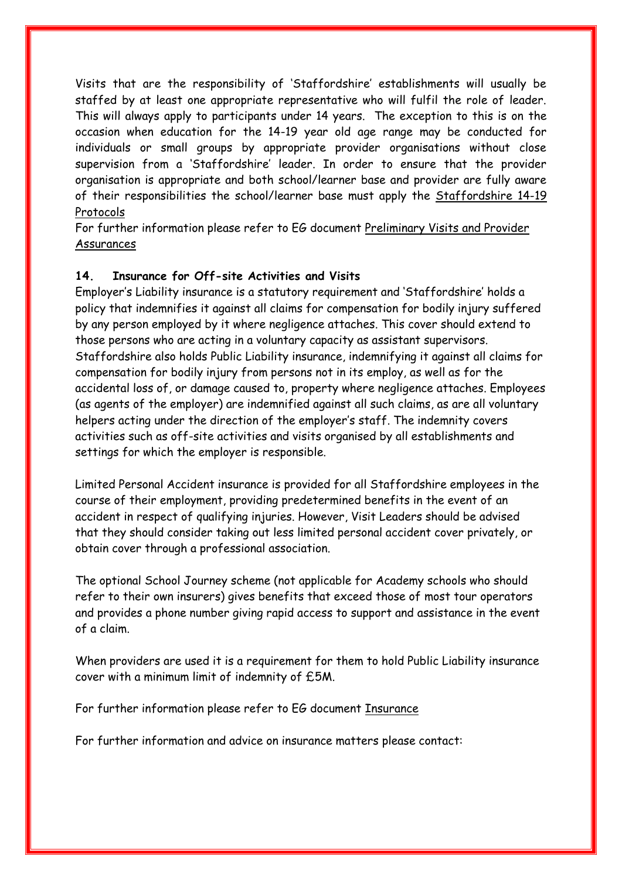Visits that are the responsibility of 'Staffordshire' establishments will usually be staffed by at least one appropriate representative who will fulfil the role of leader. This will always apply to participants under 14 years. The exception to this is on the occasion when education for the 14-19 year old age range may be conducted for individuals or small groups by appropriate provider organisations without close supervision from a 'Staffordshire' leader. In order to ensure that the provider organisation is appropriate and both school/learner base and provider are fully aware of their responsibilities the school/learner base must apply the [Staffordshire 14-19](http://education.staffordshire.gov.uk/Curriculum/ThemesandInitiatives/14to19/Protocols/)  [Protocols](http://education.staffordshire.gov.uk/Curriculum/ThemesandInitiatives/14to19/Protocols/)

For further information please refer to EG document [Preliminary Visits and Provider](http://oeapeg.info/wp-content/uploads/downloads/2011/04/4.4h-Preliminary-visits-and-provider-assurances.pdf)  [Assurances](http://oeapeg.info/wp-content/uploads/downloads/2011/04/4.4h-Preliminary-visits-and-provider-assurances.pdf)

## **14. Insurance for Off-site Activities and Visits**

Employer's Liability insurance is a statutory requirement and 'Staffordshire' holds a policy that indemnifies it against all claims for compensation for bodily injury suffered by any person employed by it where negligence attaches. This cover should extend to those persons who are acting in a voluntary capacity as assistant supervisors. Staffordshire also holds Public Liability insurance, indemnifying it against all claims for compensation for bodily injury from persons not in its employ, as well as for the accidental loss of, or damage caused to, property where negligence attaches. Employees (as agents of the employer) are indemnified against all such claims, as are all voluntary helpers acting under the direction of the employer's staff. The indemnity covers activities such as off-site activities and visits organised by all establishments and settings for which the employer is responsible.

Limited Personal Accident insurance is provided for all Staffordshire employees in the course of their employment, providing predetermined benefits in the event of an accident in respect of qualifying injuries. However, Visit Leaders should be advised that they should consider taking out less limited personal accident cover privately, or obtain cover through a professional association.

The optional School Journey scheme (not applicable for Academy schools who should refer to their own insurers) gives benefits that exceed those of most tour operators and provides a phone number giving rapid access to support and assistance in the event of a claim.

When providers are used it is a requirement for them to hold Public Liability insurance cover with a minimum limit of indemnity of £5M.

For further information please refer to EG document [Insurance](http://oeapeg.info/wp-content/uploads/downloads/2011/04/4.4c-Insurance.pdf)

For further information and advice on insurance matters please contact: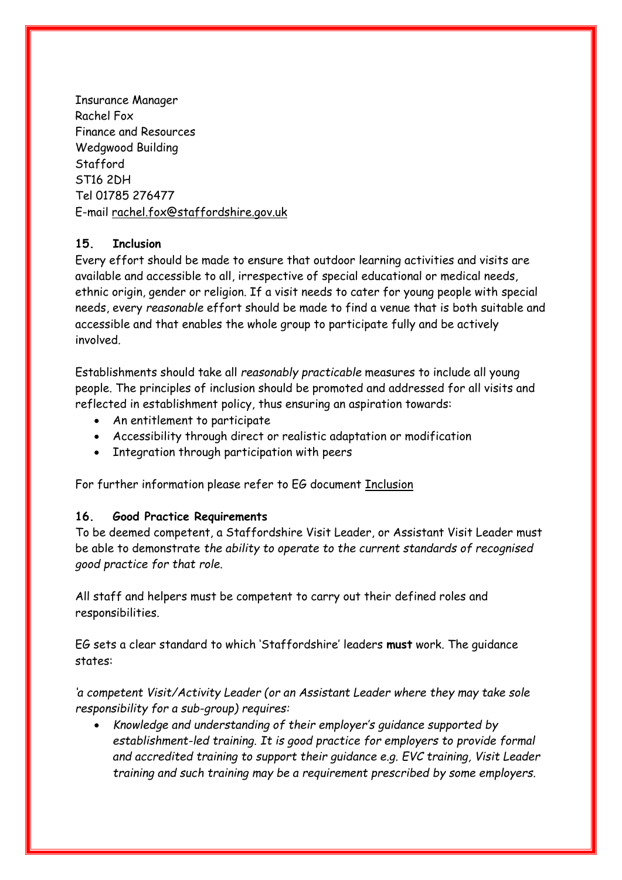Insurance Manager Rachel Fox Finance and Resources Wedgwood Building Stafford ST16 2DH Tel 01785 276477 E-mail [rachel.fox@staffordshire.gov.uk](mailto:rachel.fox@staffordshire.gov.uk)

## **15. Inclusion**

Every effort should be made to ensure that outdoor learning activities and visits are available and accessible to all, irrespective of special educational or medical needs, ethnic origin, gender or religion. If a visit needs to cater for young people with special needs, every *reasonable* effort should be made to find a venue that is both suitable and accessible and that enables the whole group to participate fully and be actively involved.

Establishments should take all *reasonably practicable* measures to include all young people. The principles of inclusion should be promoted and addressed for all visits and reflected in establishment policy, thus ensuring an aspiration towards:

- An entitlement to participate
- Accessibility through direct or realistic adaptation or modification
- Integration through participation with peers

For further information please refer to EG document [Inclusion](http://oeapeg.info/wp-content/uploads/downloads/2011/03/3.2e-Inclusion.pdf)

#### **16. Good Practice Requirements**

To be deemed competent, a Staffordshire Visit Leader, or Assistant Visit Leader must be able to demonstrate *the ability to operate to the current standards of recognised good practice for that role*.

All staff and helpers must be competent to carry out their defined roles and responsibilities.

EG sets a clear standard to which 'Staffordshire' leaders **must** work. The guidance states:

*'a competent Visit/Activity Leader (or an Assistant Leader where they may take sole responsibility for a sub-group) requires:*

 *Knowledge and understanding of their employer's guidance supported by establishment-led training. It is good practice for employers to provide formal and accredited training to support their guidance e.g. EVC training, Visit Leader training and such training may be a requirement prescribed by some employers.*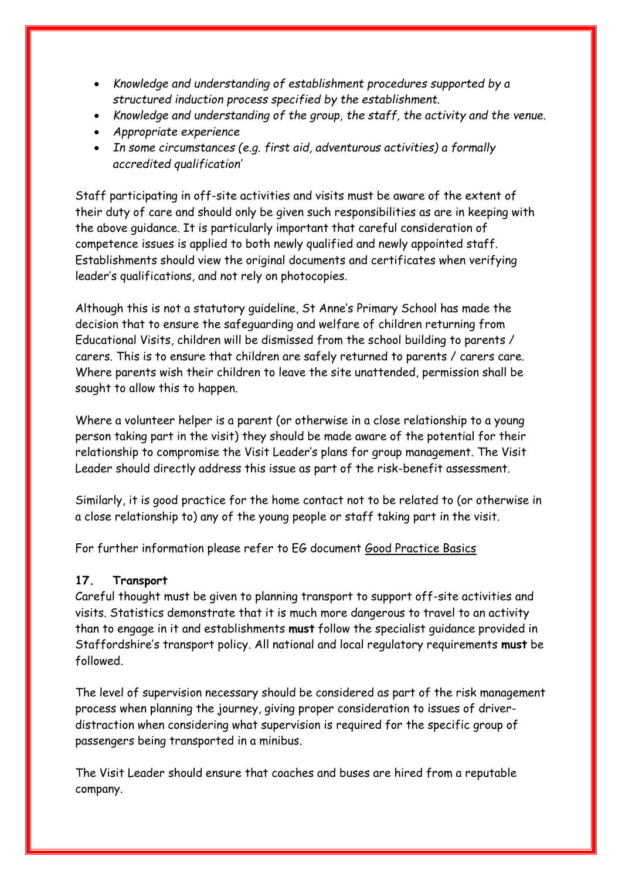- *Knowledge and understanding of establishment procedures supported by a structured induction process specified by the establishment.*
- *Knowledge and understanding of the group, the staff, the activity and the venue.*
- *Appropriate experience*
- *In some circumstances (e.g. first aid, adventurous activities) a formally accredited qualification'*

Staff participating in off-site activities and visits must be aware of the extent of their duty of care and should only be given such responsibilities as are in keeping with the above guidance. It is particularly important that careful consideration of competence issues is applied to both newly qualified and newly appointed staff. Establishments should view the original documents and certificates when verifying leader's qualifications, and not rely on photocopies.

Although this is not a statutory guideline, St Anne's Primary School has made the decision that to ensure the safeguarding and welfare of children returning from Educational Visits, children will be dismissed from the school building to parents / carers. This is to ensure that children are safely returned to parents / carers care. Where parents wish their children to leave the site unattended, permission shall be sought to allow this to happen.

Where a volunteer helper is a parent (or otherwise in a close relationship to a young person taking part in the visit) they should be made aware of the potential for their relationship to compromise the Visit Leader's plans for group management. The Visit Leader should directly address this issue as part of the risk-benefit assessment.

Similarly, it is good practice for the home contact not to be related to (or otherwise in a close relationship to) any of the young people or staff taking part in the visit.

For further information please refer to EG document [Good Practice Basics](http://oeapeg.info/wp-content/uploads/downloads/2011/04/4.3a-Good-practice-basics.pdf)

## **17. Transport**

Careful thought must be given to planning transport to support off-site activities and visits. Statistics demonstrate that it is much more dangerous to travel to an activity than to engage in it and establishments **must** follow the specialist guidance provided in Staffordshire's transport policy. All national and local regulatory requirements **must** be followed.

The level of supervision necessary should be considered as part of the risk management process when planning the journey, giving proper consideration to issues of driverdistraction when considering what supervision is required for the specific group of passengers being transported in a minibus.

The Visit Leader should ensure that coaches and buses are hired from a reputable company.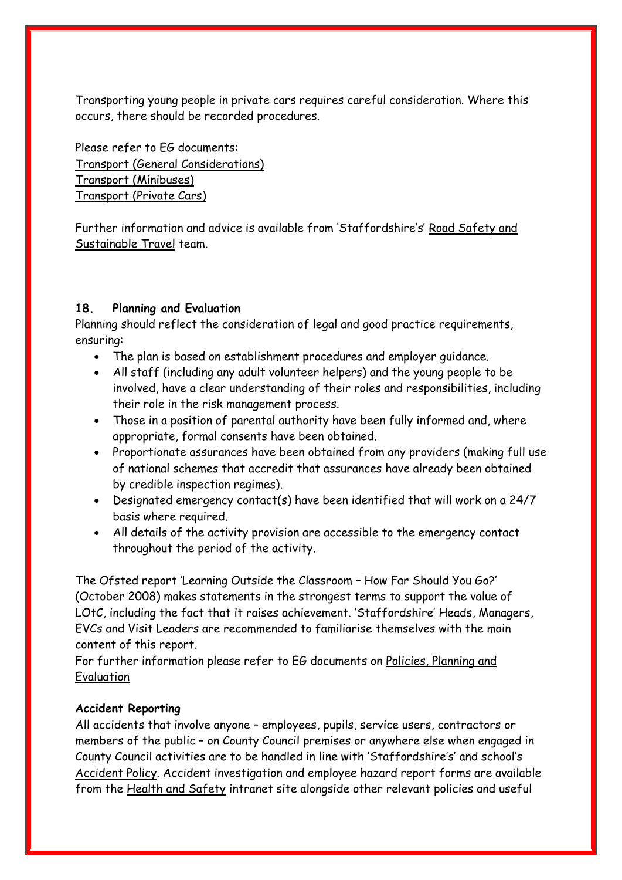Transporting young people in private cars requires careful consideration. Where this occurs, there should be recorded procedures.

Please refer to EG documents: [Transport \(General Considerations\)](http://oeapeg.info/wp-content/uploads/downloads/2011/04/4.5a-Transport-A-general-considerations.pdf) [Transport \(Minibuses\)](http://oeapeg.info/wp-content/uploads/downloads/2011/04/4.5b-Transport-B-minibuses.pdf) [Transport \(Private Cars\)](http://oeapeg.info/wp-content/uploads/downloads/2011/04/4.5c-Transport-C-private-cars.pdf)

Further information and advice is available from 'Staffordshire's' [Road Safety and](http://www.intra.staffordshire.gov.uk/services/place/transport/highways/teams/roadsafety/home.aspx)  [Sustainable Travel](http://www.intra.staffordshire.gov.uk/services/place/transport/highways/teams/roadsafety/home.aspx) team.

## **18. Planning and Evaluation**

Planning should reflect the consideration of legal and good practice requirements, ensuring:

- The plan is based on establishment procedures and employer guidance.
- All staff (including any adult volunteer helpers) and the young people to be involved, have a clear understanding of their roles and responsibilities, including their role in the risk management process.
- Those in a position of parental authority have been fully informed and, where appropriate, formal consents have been obtained.
- Proportionate assurances have been obtained from any providers (making full use of national schemes that accredit that assurances have already been obtained by credible inspection regimes).
- Designated emergency contact(s) have been identified that will work on a 24/7 basis where required.
- All details of the activity provision are accessible to the emergency contact throughout the period of the activity.

The Ofsted report 'Learning Outside the Classroom – How Far Should You Go?' (October 2008) makes statements in the strongest terms to support the value of LOtC, including the fact that it raises achievement. 'Staffordshire' Heads, Managers, EVCs and Visit Leaders are recommended to familiarise themselves with the main content of this report.

For further information please refer to EG documents on [Policies, Planning and](http://oeapeg.info/downloads/policies-planning-and-evaluation/)  [Evaluation](http://oeapeg.info/downloads/policies-planning-and-evaluation/)

## **Accident Reporting**

All accidents that involve anyone – employees, pupils, service users, contractors or members of the public – on County Council premises or anywhere else when engaged in County Council activities are to be handled in line with 'Staffordshire's' and school's [Accident Policy.](http://www.intra.staffordshire.gov.uk/Resources/Documents/a/AccidentsHRPolicy09.doc) Accident investigation and employee hazard report forms are available from the [Health and Safety](http://www.intra.staffordshire.gov.uk/healthsafety/healthsafety.aspx) intranet site alongside other relevant policies and useful